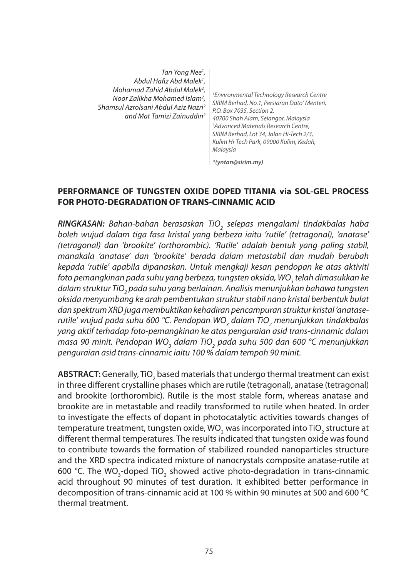| Tan Yong Nee <sup>1</sup> ,<br>Abdul Hafiz Abd Malek <sup>1</sup> ,<br>Mohamad Zahid Abdul Malek <sup>2</sup> ,<br>Noor Zalikha Mohamed Islam <sup>2</sup> .<br>Shamsul Azrolsani Abdul Aziz Nazri <sup>2</sup><br>and Mat Tamizi Zainuddin <sup>2</sup> | <sup>1</sup> Environmental Technology Research Centre<br>SIRIM Berhad, No.1, Persiaran Dato' Menteri,<br>P.O. Box 7035, Section 2,<br>40700 Shah Alam, Selangor, Malaysia<br><sup>2</sup> Advanced Materials Research Centre,<br>SIRIM Berhad, Lot 34, Jalan Hi-Tech 2/3,<br>Kulim Hi-Tech Park, 09000 Kulim, Kedah,<br>Malaysia |
|----------------------------------------------------------------------------------------------------------------------------------------------------------------------------------------------------------------------------------------------------------|----------------------------------------------------------------------------------------------------------------------------------------------------------------------------------------------------------------------------------------------------------------------------------------------------------------------------------|
|                                                                                                                                                                                                                                                          | *(yntan@sirim.my)                                                                                                                                                                                                                                                                                                                |

#### **PERFORMANCE OF TUNGSTEN OXIDE DOPED TITANIA via SOL-GEL PROCESS FOR PHOTO-DEGRADATION OF TRANS-CINNAMIC ACID**

*RINGKASAN: Bahan-bahan berasaskan TiO2 selepas mengalami tindakbalas haba boleh wujud dalam tiga fasa kristal yang berbeza iaitu 'rutile' (tetragonal), 'anatase' (tetragonal) dan 'brookite' (orthorombic). 'Rutile' adalah bentuk yang paling stabil, manakala 'anatase' dan 'brookite' berada dalam metastabil dan mudah berubah kepada 'rutile' apabila dipanaskan. Untuk mengkaji kesan pendopan ke atas aktiviti*   $\epsilon$ foto pemangkinan pada suhu yang berbeza, tungsten oksida, WO<sub>3</sub> telah dimasukkan ke dalam struktur TiO<sub>2</sub> pada suhu yang berlainan. Analisis menunjukkan bahawa tungsten *oksida menyumbang ke arah pembentukan struktur stabil nano kristal berbentuk bulat dan spektrum XRD juga membuktikan kehadiran pencampuran struktur kristal 'anatase*rutile' wujud pada suhu 600 °C. Pendopan WO<sub>3</sub> dalam TiO<sub>2</sub> menunjukkan tindakbalas *yang aktif terhadap foto-pemangkinan ke atas penguraian asid trans-cinnamic dalam*  masa 90 minit. Pendopan WO<sub>3</sub> dalam TiO<sub>2</sub> pada suhu 500 dan 600 °C menunjukkan *penguraian asid trans-cinnamic iaitu 100 % dalam tempoh 90 minit.*

**ABSTRACT:** Generally, TiO<sub>2</sub> based materials that undergo thermal treatment can exist in three different crystalline phases which are rutile (tetragonal), anatase (tetragonal) and brookite (orthorombic). Rutile is the most stable form, whereas anatase and brookite are in metastable and readily transformed to rutile when heated. In order to investigate the effects of dopant in photocatalytic activities towards changes of temperature treatment, tungsten oxide, WO<sub>3</sub> was incorporated into TiO<sub>2</sub> structure at different thermal temperatures. The results indicated that tungsten oxide was found to contribute towards the formation of stabilized rounded nanoparticles structure and the XRD spectra indicated mixture of nanocrystals composite anatase-rutile at 600 °C. The WO<sub>3</sub>-doped TiO<sub>2</sub> showed active photo-degradation in trans-cinnamic acid throughout 90 minutes of test duration. It exhibited better performance in decomposition of trans-cinnamic acid at 100 % within 90 minutes at 500 and 600 °C thermal treatment.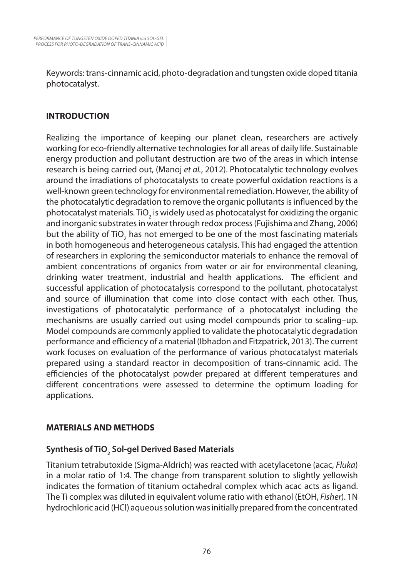Keywords: trans-cinnamic acid, photo-degradation and tungsten oxide doped titania photocatalyst.

### **INTRODUCTION**

Realizing the importance of keeping our planet clean, researchers are actively working for eco-friendly alternative technologies for all areas of daily life. Sustainable energy production and pollutant destruction are two of the areas in which intense research is being carried out, (Manoj *et al.*, 2012). Photocatalytic technology evolves around the irradiations of photocatalysts to create powerful oxidation reactions is a well-known green technology for environmental remediation. However, the ability of the photocatalytic degradation to remove the organic pollutants is influenced by the photocatalyst materials. TiO<sub>2</sub> is widely used as photocatalyst for oxidizing the organic and inorganic substrates in water through redox process (Fujishima and Zhang, 2006) but the ability of TiO<sub>2</sub> has not emerged to be one of the most fascinating materials in both homogeneous and heterogeneous catalysis. This had engaged the attention of researchers in exploring the semiconductor materials to enhance the removal of ambient concentrations of organics from water or air for environmental cleaning, drinking water treatment, industrial and health applications. The efficient and successful application of photocatalysis correspond to the pollutant, photocatalyst and source of illumination that come into close contact with each other. Thus, investigations of photocatalytic performance of a photocatalyst including the mechanisms are usually carried out using model compounds prior to scaling–up. Model compounds are commonly applied to validate the photocatalytic degradation performance and efficiency of a material (Ibhadon and Fitzpatrick, 2013). The current work focuses on evaluation of the performance of various photocatalyst materials prepared using a standard reactor in decomposition of trans-cinnamic acid. The efficiencies of the photocatalyst powder prepared at different temperatures and different concentrations were assessed to determine the optimum loading for applications.

### **MATERIALS AND METHODS**

# **Synthesis of TiO2 Sol-gel Derived Based Materials**

Titanium tetrabutoxide (Sigma-Aldrich) was reacted with acetylacetone (acac, *Fluka*) in a molar ratio of 1:4. The change from transparent solution to slightly yellowish indicates the formation of titanium octahedral complex which acac acts as ligand. The Ti complex was diluted in equivalent volume ratio with ethanol (EtOH, *Fisher*). 1N hydrochloric acid (HCl) aqueous solution was initially prepared from the concentrated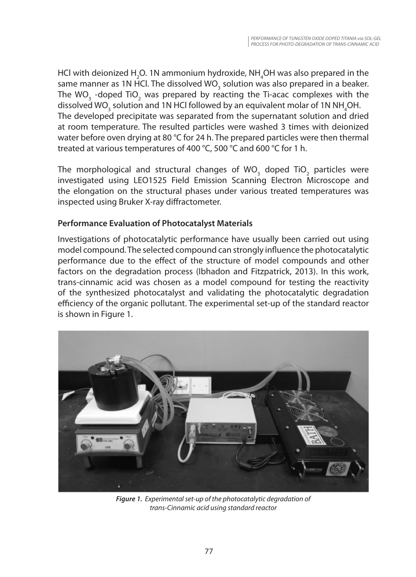HCl with deionized H<sub>2</sub>O. 1N ammonium hydroxide, NH<sub>4</sub>OH was also prepared in the same manner as 1N HCl. The dissolved WO<sub>3</sub> solution was also prepared in a beaker. The WO<sub>3</sub> -doped TiO<sub>2</sub> was prepared by reacting the Ti-acac complexes with the dissolved WO<sub>3</sub> solution and 1N HCl followed by an equivalent molar of 1N NH<sub>4</sub>OH. The developed precipitate was separated from the supernatant solution and dried at room temperature. The resulted particles were washed 3 times with deionized water before oven drying at 80 °C for 24 h. The prepared particles were then thermal treated at various temperatures of 400 °C, 500 °C and 600 °C for 1 h.

The morphological and structural changes of WO<sub>3</sub> doped TiO<sub>2</sub> particles were investigated using LEO1525 Field Emission Scanning Electron Microscope and the elongation on the structural phases under various treated temperatures was inspected using Bruker X-ray diffractometer.

### **Performance Evaluation of Photocatalyst Materials**

Investigations of photocatalytic performance have usually been carried out using model compound. The selected compound can strongly influence the photocatalytic performance due to the effect of the structure of model compounds and other factors on the degradation process (Ibhadon and Fitzpatrick, 2013). In this work, trans-cinnamic acid was chosen as a model compound for testing the reactivity of the synthesized photocatalyst and validating the photocatalytic degradation efficiency of the organic pollutant. The experimental set-up of the standard reactor is shown in Figure 1.



*Figure 1. Experimental set-up of the photocatalytic degradation of trans-Cinnamic acid using standard reactor*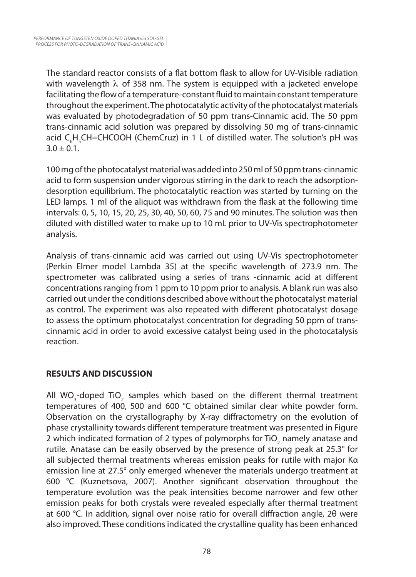The standard reactor consists of a flat bottom flask to allow for UV-Visible radiation with wavelength  $\lambda$  of 358 nm. The system is equipped with a jacketed envelope facilitating the flow of a temperature-constant fluid to maintain constant temperature throughout the experiment. The photocatalytic activity of the photocatalyst materials was evaluated by photodegradation of 50 ppm trans-Cinnamic acid. The 50 ppm trans-cinnamic acid solution was prepared by dissolving 50 mg of trans-cinnamic acid C<sub>6</sub>H<sub>5</sub>CH=CHCOOH (ChemCruz) in 1 L of distilled water. The solution's pH was  $3.0 \pm 0.1$ .

100 mg of the photocatalyst material was added into 250 ml of 50 ppm trans-cinnamic acid to form suspension under vigorous stirring in the dark to reach the adsorptiondesorption equilibrium. The photocatalytic reaction was started by turning on the LED lamps. 1 ml of the aliquot was withdrawn from the flask at the following time intervals: 0, 5, 10, 15, 20, 25, 30, 40, 50, 60, 75 and 90 minutes. The solution was then diluted with distilled water to make up to 10 mL prior to UV-Vis spectrophotometer analysis.

Analysis of trans-cinnamic acid was carried out using UV-Vis spectrophotometer (Perkin Elmer model Lambda 35) at the specific wavelength of 273.9 nm. The spectrometer was calibrated using a series of trans -cinnamic acid at different concentrations ranging from 1 ppm to 10 ppm prior to analysis. A blank run was also carried out under the conditions described above without the photocatalyst material as control. The experiment was also repeated with different photocatalyst dosage to assess the optimum photocatalyst concentration for degrading 50 ppm of transcinnamic acid in order to avoid excessive catalyst being used in the photocatalysis reaction.

## **RESULTS AND DISCUSSION**

All WO<sub>3</sub>-doped TiO<sub>2</sub> samples which based on the different thermal treatment temperatures of 400, 500 and 600 °C obtained similar clear white powder form. Observation on the crystallography by X-ray diffractometry on the evolution of phase crystallinity towards different temperature treatment was presented in Figure 2 which indicated formation of 2 types of polymorphs for TiO<sub>2</sub> namely anatase and rutile. Anatase can be easily observed by the presence of strong peak at 25.3° for all subjected thermal treatments whereas emission peaks for rutile with major Kα emission line at 27.5° only emerged whenever the materials undergo treatment at 600 °C (Kuznetsova, 2007). Another significant observation throughout the temperature evolution was the peak intensities become narrower and few other emission peaks for both crystals were revealed especially after thermal treatment at 600 °C. In addition, signal over noise ratio for overall diffraction angle, 2θ were also improved. These conditions indicated the crystalline quality has been enhanced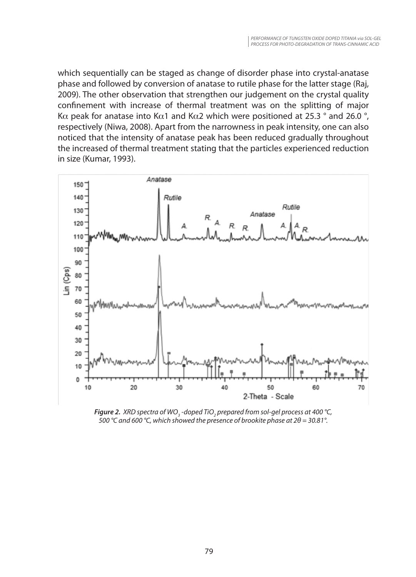which sequentially can be staged as change of disorder phase into crystal-anatase phase and followed by conversion of anatase to rutile phase for the latter stage (Raj, 2009). The other observation that strengthen our judgement on the crystal quality confinement with increase of thermal treatment was on the splitting of major Kα peak for anatase into Kα1 and Kα2 which were positioned at 25.3 ° and 26.0 °, respectively (Niwa, 2008). Apart from the narrowness in peak intensity, one can also noticed that the intensity of anatase peak has been reduced gradually throughout the increased of thermal treatment stating that the particles experienced reduction in size (Kumar, 1993).



*Figure 2. <code>XRD</code> spectra of WO<sub>3</sub> -doped TiO<sub>2</sub> prepared from sol-gel process at 400 °C, 500 °C and 600 °C, which showed the presence of brookite phase at 2θ = 30.81°.*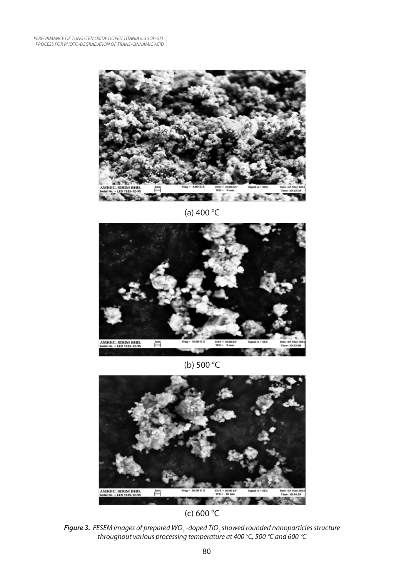

(a) 400 °C



(b) 500 °C



(c) 600 °C

**Figure 3.** FESEM images of prepared WO<sub>3</sub> -doped TiO<sub>2</sub> showed rounded nanoparticles structure *throughout various processing temperature at 400 °C, 500 °C and 600 °C*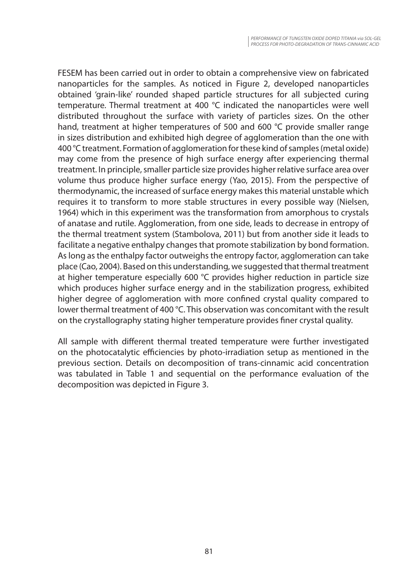FESEM has been carried out in order to obtain a comprehensive view on fabricated nanoparticles for the samples. As noticed in Figure 2, developed nanoparticles obtained 'grain-like' rounded shaped particle structures for all subjected curing temperature. Thermal treatment at 400 °C indicated the nanoparticles were well distributed throughout the surface with variety of particles sizes. On the other hand, treatment at higher temperatures of 500 and 600 °C provide smaller range in sizes distribution and exhibited high degree of agglomeration than the one with 400 °C treatment. Formation of agglomeration for these kind of samples (metal oxide) may come from the presence of high surface energy after experiencing thermal treatment. In principle, smaller particle size provides higher relative surface area over volume thus produce higher surface energy (Yao, 2015). From the perspective of thermodynamic, the increased of surface energy makes this material unstable which requires it to transform to more stable structures in every possible way (Nielsen, 1964) which in this experiment was the transformation from amorphous to crystals of anatase and rutile. Agglomeration, from one side, leads to decrease in entropy of the thermal treatment system (Stambolova, 2011) but from another side it leads to facilitate a negative enthalpy changes that promote stabilization by bond formation. As long as the enthalpy factor outweighs the entropy factor, agglomeration can take place (Cao, 2004). Based on this understanding, we suggested that thermal treatment at higher temperature especially 600 °C provides higher reduction in particle size which produces higher surface energy and in the stabilization progress, exhibited higher degree of agglomeration with more confined crystal quality compared to lower thermal treatment of 400 °C. This observation was concomitant with the result on the crystallography stating higher temperature provides finer crystal quality.

All sample with different thermal treated temperature were further investigated on the photocatalytic efficiencies by photo-irradiation setup as mentioned in the previous section. Details on decomposition of trans-cinnamic acid concentration was tabulated in Table 1 and sequential on the performance evaluation of the decomposition was depicted in Figure 3.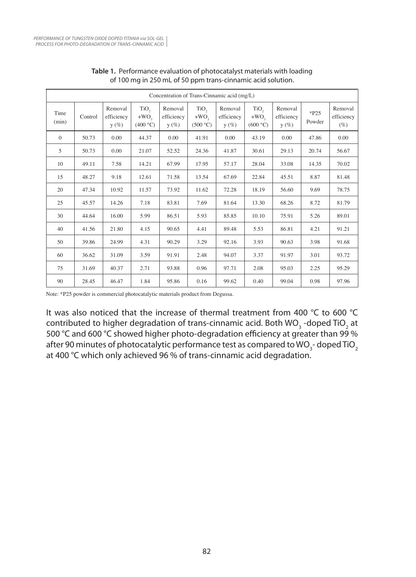| Concentration of Trans-Cinnamic acid (mg/L) |         |                                  |                                        |                                  |                                        |                                  |                                        |                                  |                  |                                 |
|---------------------------------------------|---------|----------------------------------|----------------------------------------|----------------------------------|----------------------------------------|----------------------------------|----------------------------------------|----------------------------------|------------------|---------------------------------|
| Time<br>(min)                               | Control | Removal<br>efficiency<br>$y(\%)$ | TiO <sub>2</sub><br>$+WO2$<br>(400 °C) | Removal<br>efficiency<br>$y(\%)$ | TiO <sub>2</sub><br>$+WO2$<br>(500 °C) | Removal<br>efficiency<br>$y(\%)$ | TiO <sub>2</sub><br>$+WO2$<br>(600 °C) | Removal<br>efficiency<br>$y(\%)$ | $*P25$<br>Powder | Removal<br>efficiency<br>$(\%)$ |
| $\theta$                                    | 50.73   | 0.00                             | 44.37                                  | 0.00                             | 41.91                                  | 0.00                             | 43.19                                  | 0.00                             | 47.86            | 0.00                            |
| 5                                           | 50.73   | 0.00                             | 21.07                                  | 52.52                            | 24.36                                  | 41.87                            | 30.61                                  | 29.13                            | 20.74            | 56.67                           |
| 10                                          | 49.11   | 7.58                             | 14.21                                  | 67.99                            | 17.95                                  | 57.17                            | 28.04                                  | 33.08                            | 14.35            | 70.02                           |
| 15                                          | 48.27   | 9.18                             | 12.61                                  | 71.58                            | 13.54                                  | 67.69                            | 22.84                                  | 45.51                            | 8.87             | 81.48                           |
| 20                                          | 47.34   | 10.92                            | 11.57                                  | 73.92                            | 11.62                                  | 72.28                            | 18.19                                  | 56.60                            | 9.69             | 78.75                           |
| 25                                          | 45.57   | 14.26                            | 7.18                                   | 83.81                            | 7.69                                   | 81.64                            | 13.30                                  | 68.26                            | 8.72             | 81.79                           |
| 30                                          | 44.64   | 16.00                            | 5.99                                   | 86.51                            | 5.93                                   | 85.85                            | 10.10                                  | 75.91                            | 5.26             | 89.01                           |
| 40                                          | 41.56   | 21.80                            | 4.15                                   | 90.65                            | 4.41                                   | 89.48                            | 5.53                                   | 86.81                            | 4.21             | 91.21                           |
| 50                                          | 39.86   | 24.99                            | 4.31                                   | 90.29                            | 3.29                                   | 92.16                            | 3.93                                   | 90.63                            | 3.98             | 91.68                           |
| 60                                          | 36.62   | 31.09                            | 3.59                                   | 91.91                            | 2.48                                   | 94.07                            | 3.37                                   | 91.97                            | 3.01             | 93.72                           |
| 75                                          | 31.69   | 40.37                            | 2.71                                   | 93.88                            | 0.96                                   | 97.71                            | 2.08                                   | 95.03                            | 2.25             | 95.29                           |
| 90                                          | 28.45   | 46.47                            | 1.84                                   | 95.86                            | 0.16                                   | 99.62                            | 0.40                                   | 99.04                            | 0.98             | 97.96                           |

#### **Table 1.** Performance evaluation of photocatalyst materials with loading of 100 mg in 250 mL of 50 ppm trans-cinnamic acid solution.

Note: \*P25 powder is commercial photocatalytic materials product from Degussa.

It was also noticed that the increase of thermal treatment from 400 °C to 600 °C contributed to higher degradation of trans-cinnamic acid. Both WO<sub>3</sub> -doped TiO<sub>2</sub> at 500 °C and 600 °C showed higher photo-degradation efficiency at greater than 99 % after 90 minutes of photocatalytic performance test as compared to WO<sub>3</sub>- doped TiO<sub>2</sub> at 400 °C which only achieved 96 % of trans-cinnamic acid degradation.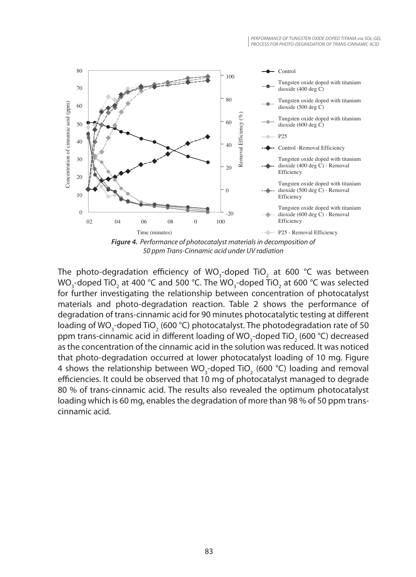

The photo-degradation efficiency of WO<sub>3</sub>-doped TiO<sub>2</sub> at 600 °C was between WO<sub>3</sub>-doped TiO<sub>2</sub> at 400 °C and 500 °C. The WO<sub>3</sub>-doped TiO<sub>2</sub> at 600 °C was selected for further investigating the relationship between concentration of photocatalyst materials and photo-degradation reaction. Table 2 shows the performance of degradation of trans-cinnamic acid for 90 minutes photocatalytic testing at different loading of WO<sub>3</sub>-doped TiO<sub>2</sub> (600 °C) photocatalyst. The photodegradation rate of 50 ppm trans-cinnamic acid in different loading of WO<sub>3</sub>-doped TiO<sub>2</sub> (600 °C) decreased as the concentration of the cinnamic acid in the solution was reduced. It was noticed that photo-degradation occurred at lower photocatalyst loading of 10 mg. Figure 4 shows the relationship between WO<sub>3</sub>-doped TiO<sub>2</sub> (600 °C) loading and removal efficiencies. It could be observed that 10 mg of photocatalyst managed to degrade 80 % of trans-cinnamic acid. The results also revealed the optimum photocatalyst loading which is 60 mg, enables the degradation of more than 98 % of 50 ppm transcinnamic acid.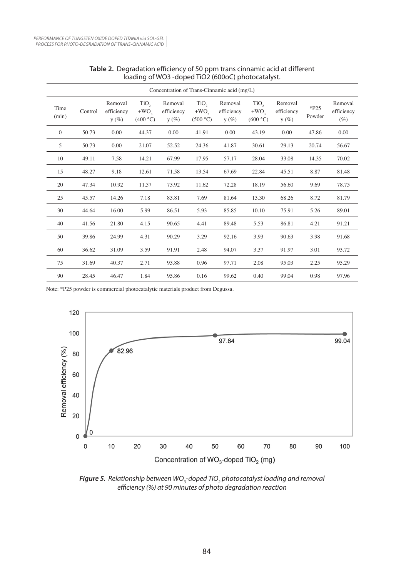| Concentration of Trans-Cinnamic acid (mg/L) |         |                                  |                           |                                  |                                         |                                  |                                         |                                  |                  |                                 |
|---------------------------------------------|---------|----------------------------------|---------------------------|----------------------------------|-----------------------------------------|----------------------------------|-----------------------------------------|----------------------------------|------------------|---------------------------------|
| Time<br>(min)                               | Control | Removal<br>efficiency<br>$y(\%)$ | TiO,<br>$+WO$<br>(400 °C) | Removal<br>efficiency<br>$y(\%)$ | TiO <sub>2</sub><br>$+WO$ ,<br>(500 °C) | Removal<br>efficiency<br>$y(\%)$ | TiO <sub>2</sub><br>$+WO$ ,<br>(600 °C) | Removal<br>efficiency<br>$y(\%)$ | $*P25$<br>Powder | Removal<br>efficiency<br>$(\%)$ |
| $\mathbf{0}$                                | 50.73   | 0.00                             | 44.37                     | 0.00                             | 41.91                                   | 0.00                             | 43.19                                   | 0.00                             | 47.86            | 0.00                            |
| 5                                           | 50.73   | 0.00                             | 21.07                     | 52.52                            | 24.36                                   | 41.87                            | 30.61                                   | 29.13                            | 20.74            | 56.67                           |
| 10                                          | 49.11   | 7.58                             | 14.21                     | 67.99                            | 17.95                                   | 57.17                            | 28.04                                   | 33.08                            | 14.35            | 70.02                           |
| 15                                          | 48.27   | 9.18                             | 12.61                     | 71.58                            | 13.54                                   | 67.69                            | 22.84                                   | 45.51                            | 8.87             | 81.48                           |
| 20                                          | 47.34   | 10.92                            | 11.57                     | 73.92                            | 11.62                                   | 72.28                            | 18.19                                   | 56.60                            | 9.69             | 78.75                           |
| 25                                          | 45.57   | 14.26                            | 7.18                      | 83.81                            | 7.69                                    | 81.64                            | 13.30                                   | 68.26                            | 8.72             | 81.79                           |
| 30                                          | 44.64   | 16.00                            | 5.99                      | 86.51                            | 5.93                                    | 85.85                            | 10.10                                   | 75.91                            | 5.26             | 89.01                           |
| 40                                          | 41.56   | 21.80                            | 4.15                      | 90.65                            | 4.41                                    | 89.48                            | 5.53                                    | 86.81                            | 4.21             | 91.21                           |
| 50                                          | 39.86   | 24.99                            | 4.31                      | 90.29                            | 3.29                                    | 92.16                            | 3.93                                    | 90.63                            | 3.98             | 91.68                           |
| 60                                          | 36.62   | 31.09                            | 3.59                      | 91.91                            | 2.48                                    | 94.07                            | 3.37                                    | 91.97                            | 3.01             | 93.72                           |
| 75                                          | 31.69   | 40.37                            | 2.71                      | 93.88                            | 0.96                                    | 97.71                            | 2.08                                    | 95.03                            | 2.25             | 95.29                           |
| 90                                          | 28.45   | 46.47                            | 1.84                      | 95.86                            | 0.16                                    | 99.62                            | 0.40                                    | 99.04                            | 0.98             | 97.96                           |

#### **Table 2.** Degradation efficiency of 50 ppm trans cinnamic acid at different loading of WO3 -doped TiO2 (600oC) photocatalyst.

Note: \*P25 powder is commercial photocatalytic materials product from Degussa.



**Figure 5.** Relationship between WO<sub>3</sub>-doped TiO<sub>2</sub> photocatalyst loading and removal *efficiency (%) at 90 minutes of photo degradation reaction*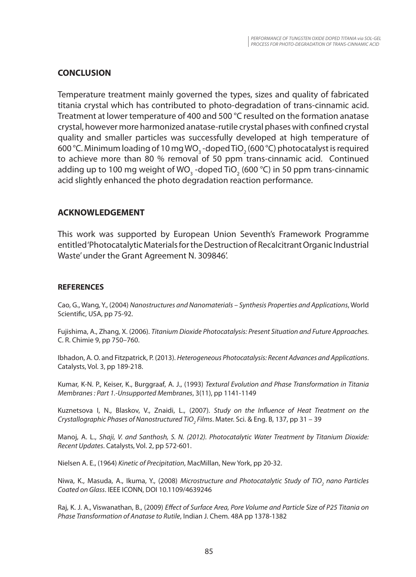### **CONCLUSION**

Temperature treatment mainly governed the types, sizes and quality of fabricated titania crystal which has contributed to photo-degradation of trans-cinnamic acid. Treatment at lower temperature of 400 and 500 °C resulted on the formation anatase crystal, however more harmonized anatase-rutile crystal phases with confined crystal quality and smaller particles was successfully developed at high temperature of 600 °C. Minimum loading of 10 mg WO<sub>3</sub> -doped TiO<sub>2</sub> (600 °C) photocatalyst is required to achieve more than 80 % removal of 50 ppm trans-cinnamic acid. Continued adding up to 100 mg weight of WO<sub>3</sub> -doped TiO<sub>2</sub> (600 °C) in 50 ppm trans-cinnamic acid slightly enhanced the photo degradation reaction performance.

### **ACKNOWLEDGEMENT**

This work was supported by European Union Seventh's Framework Programme entitled 'Photocatalytic Materials for the Destruction of Recalcitrant Organic Industrial Waste' under the Grant Agreement N. 309846'.

#### **REFERENCES**

Cao, G., Wang, Y., (2004) *Nanostructures and Nanomaterials – Synthesis Properties and Applications*, World Scientific, USA, pp 75-92.

Fujishima, A., Zhang, X. (2006). *Titanium Dioxide Photocatalysis: Present Situation and Future Approaches.* C. R. Chimie 9, pp 750–760.

Ibhadon, A. O. and Fitzpatrick, P. (2013). *Heterogeneous Photocatalysis: Recent Advances and Applications*. Catalysts, Vol. 3, pp 189-218.

Kumar, K-N. P., Keiser, K., Burggraaf, A. J., (1993) *Textural Evolution and Phase Transformation in Titania Membranes : Part 1.-Unsupported Membranes*, 3(11), pp 1141-1149

Kuznetsova I, N., Blaskov, V., Znaidi, L., (2007). *Study on the Influence of Heat Treatment on the*  Crystallographic Phases of Nanostructured TiO<sub>2</sub> Films. Mater. Sci. & Eng. B, 137, pp 31 – 39

Manoj, A. L., *Shaji, V. and Santhosh, S. N. (2012). Photocatalytic Water Treatment by Titanium Dioxide: Recent Updates*. Catalysts, Vol. 2, pp 572-601.

Nielsen A. E., (1964) *Kinetic of Precipitation*, MacMillan, New York, pp 20-32.

Niwa, K., Masuda, A., Ikuma, Y., (2008) *Microstructure and Photocatalytic Study of TiO<sub>2</sub> nano Particles Coated on Glass*. IEEE ICONN, DOI 10.1109/4639246

Raj, K. J. A., Viswanathan, B., (2009) *Effect of Surface Area, Pore Volume and Particle Size of P25 Titania on Phase Transformation of Anatase to Rutile*, Indian J. Chem. 48A pp 1378-1382